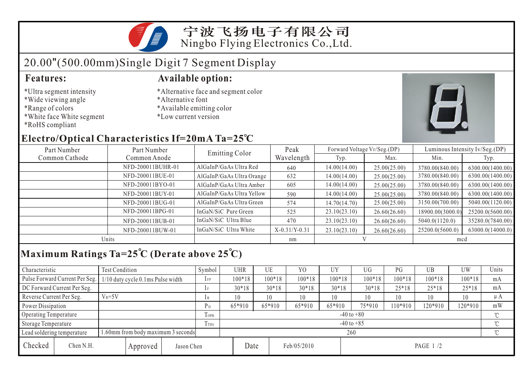宁波飞扬电子有限公司 Ningbo Flying Electronics Co.,Ltd.

# 20.00"(500.00mm)Single Digit 7 Segment Display

- \*Ultra segment intensity
- \*Wide viewing angle
- \*Range of colors
- \*White face White segment
- \*RoHS compliant

### **Features: Available option:**

- \*Alternative face and segment color
- \*Alternative font
- \*Available emitting color
- \*Low current version



### **Electro/Optical Characteristics If=20mA Ta=25 C**

| Part Number    | Part Number       | <b>Emitting Color</b>     | Peak            | Forward Voltage VF/Seg.(DP) |              | Luminous Intensity Iv/Seg.(DP) |                  |  |
|----------------|-------------------|---------------------------|-----------------|-----------------------------|--------------|--------------------------------|------------------|--|
| Common Cathode | Common Anode      |                           | Wavelength      | Typ.                        | Max.         | Min.                           | Typ.             |  |
|                | NFD-200011BUHR-01 | AlGaInP/GaAs Ultra Red    | 640             | 14.00(14.00)                | 25.00(25.00) | 3780.00(840.00)                | 6300.00(1400.00) |  |
|                | NFD-200011BUE-01  | AlGaInP/GaAs Ultra Orange | 632             | 14.00(14.00)                | 25.00(25.00) | 3780.00(840.00)                | 6300.00(1400.00) |  |
|                | NFD-200011BYO-01  | AlGaInP/GaAs Ultra Amber  | 605             | 14.00(14.00)                | 25.00(25.00) | 3780.00(840.00)                | 6300.00(1400.00) |  |
|                | NFD-200011BUY-01  | AlGaInP/GaAs Ultra Yellow | 590             | 14.00(14.00)                | 25.00(25.00) | 3780.00(840.00)                | 6300.00(1400.00) |  |
|                | NFD-200011BUG-01  | AlGaInP/GaAs Ultra Green  | 574             | 14.70(14.70)                | 25.00(25.00) | 3150.00(700.00)                | 5040.00(1120.00) |  |
|                | NFD-200011BPG-01  | InGaN/SiC Pure Green      | 525             | 23.10(23.10)                | 26.60(26.60) | 18900.00(3000.0)               | 25200.0(5600.00) |  |
|                | NFD-200011BUB-01  | InGaN/SiC Ultra Blue      | 470             | 23.10(23.10)                | 26.60(26.60) | 5040.0(1120.0)                 | 35280.0(7840.00) |  |
|                | NFD-200011BUW-01  | InGaN/SiC Ultra White     | $X-0.31/Y-0.31$ | 23.10(23.10)                | 26.60(26.60) | 25200.0(5600.0)                | 63000.0(14000.0) |  |
| Units          |                   |                           | nm              |                             |              | mcd                            |                  |  |

## **Maximum Ratings Ta=25 C (Derate above 25 C)**

| Characteristic             |                                     | Test Condition                    |                                   |                                  | Symbol         | <b>UHR</b>     | UE             |          | Y <sub>0</sub> | <b>UY</b> | UG              | PG       | UB       | UW       | Units   |
|----------------------------|-------------------------------------|-----------------------------------|-----------------------------------|----------------------------------|----------------|----------------|----------------|----------|----------------|-----------|-----------------|----------|----------|----------|---------|
|                            | Pulse Forward Current Per Seg.      | 1/10 duty cycle 0.1ms Pulse width |                                   |                                  | $1$ FP         | $100*18$       |                | $100*18$ | $100*18$       | $100*18$  | $100*18$        | $100*18$ | $100*18$ | $100*18$ | mA      |
|                            | DC Forward Current Per Seg.         |                                   |                                   |                                  |                | $30*18$        |                | $30*18$  | $30*18$        | $30*18$   | $30*18$         | $25*18$  | $25*18$  | $25*18$  | mA      |
| Reverse Current Per Seg.   |                                     | $V_R = 5V$                        |                                   |                                  | 1 R            | 10             |                | 10       | 10             | 10        | 10 <sup>°</sup> | 10       | 10       | 10       | $\mu A$ |
| Power Dissipation          |                                     |                                   |                                   |                                  | P <sub>D</sub> | 65*910         |                | 65*910   | 65*910         | 65*910    | 75*910          | $10*910$ | 120*910  | 120*910  | mW      |
|                            | Operating Temperature               |                                   |                                   |                                  | <b>TOPR</b>    |                | $-40$ to $+80$ |          |                |           |                 |          |          |          |         |
| Storage Temperature        |                                     |                                   |                                   | Trsg                             |                | $-40$ to $+85$ |                |          |                |           |                 |          |          | $\sim$   |         |
| Lead soldering temperature |                                     |                                   | .60mm from body maximum 3 seconds |                                  |                | 260            |                |          |                |           |                 |          |          |          |         |
| Checked                    | Chen N.H.<br>Jason Chen<br>Approved |                                   |                                   | Date<br>Feb/05/2010<br>PAGE 1 /2 |                |                |                |          |                |           |                 |          |          |          |         |